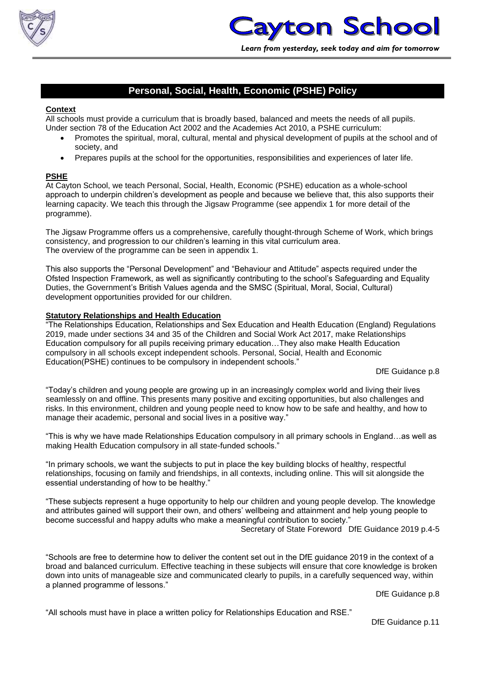

# **Personal, Social, Health, Economic (PSHE) Policy**

### **Context**

All schools must provide a curriculum that is broadly based, balanced and meets the needs of all pupils. Under section 78 of the Education Act 2002 and the Academies Act 2010, a PSHE curriculum:

- Promotes the spiritual, moral, cultural, mental and physical development of pupils at the school and of society, and
- Prepares pupils at the school for the opportunities, responsibilities and experiences of later life.

## **PSHE**

At Cayton School, we teach Personal, Social, Health, Economic (PSHE) education as a whole-school approach to underpin children's development as people and because we believe that, this also supports their learning capacity. We teach this through the Jigsaw Programme (see appendix 1 for more detail of the programme).

The Jigsaw Programme offers us a comprehensive, carefully thought-through Scheme of Work, which brings consistency, and progression to our children's learning in this vital curriculum area. The overview of the programme can be seen in appendix 1.

This also supports the "Personal Development" and "Behaviour and Attitude" aspects required under the Ofsted Inspection Framework, as well as significantly contributing to the school's Safeguarding and Equality Duties, the Government's British Values agenda and the SMSC (Spiritual, Moral, Social, Cultural) development opportunities provided for our children.

#### **Statutory Relationships and Health Education**

"The Relationships Education, Relationships and Sex Education and Health Education (England) Regulations 2019, made under sections 34 and 35 of the Children and Social Work Act 2017, make Relationships Education compulsory for all pupils receiving primary education…They also make Health Education compulsory in all schools except independent schools. Personal, Social, Health and Economic Education(PSHE) continues to be compulsory in independent schools."

DfE Guidance p.8

"Today's children and young people are growing up in an increasingly complex world and living their lives seamlessly on and offline. This presents many positive and exciting opportunities, but also challenges and risks. In this environment, children and young people need to know how to be safe and healthy, and how to manage their academic, personal and social lives in a positive way."

"This is why we have made Relationships Education compulsory in all primary schools in England…as well as making Health Education compulsory in all state-funded schools."

"In primary schools, we want the subjects to put in place the key building blocks of healthy, respectful relationships, focusing on family and friendships, in all contexts, including online. This will sit alongside the essential understanding of how to be healthy."

"These subjects represent a huge opportunity to help our children and young people develop. The knowledge and attributes gained will support their own, and others' wellbeing and attainment and help young people to become successful and happy adults who make a meaningful contribution to society." Secretary of State Foreword DfE Guidance 2019 p.4-5

"Schools are free to determine how to deliver the content set out in the DfE guidance 2019 in the context of a broad and balanced curriculum. Effective teaching in these subjects will ensure that core knowledge is broken down into units of manageable size and communicated clearly to pupils, in a carefully sequenced way, within a planned programme of lessons."

DfE Guidance p.8

"All schools must have in place a written policy for Relationships Education and RSE."

DfE Guidance p.11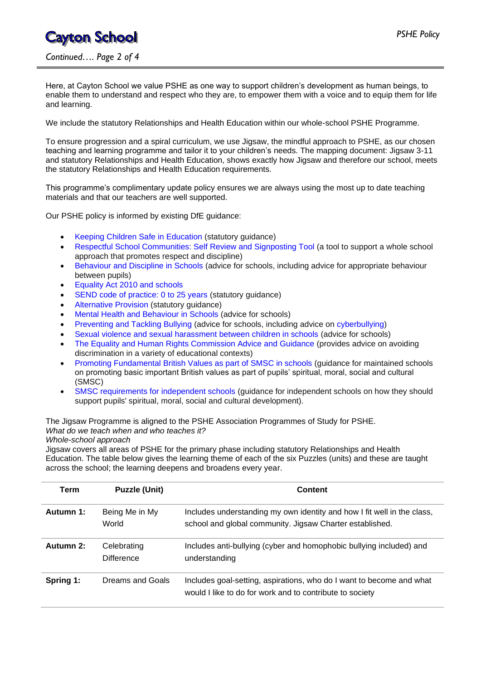# **Cayton School**

*Continued…. Page 2 of 4*

Here, at Cayton School we value PSHE as one way to support children's development as human beings, to enable them to understand and respect who they are, to empower them with a voice and to equip them for life and learning.

We include the statutory Relationships and Health Education within our whole-school PSHE Programme.

To ensure progression and a spiral curriculum, we use Jigsaw, the mindful approach to PSHE, as our chosen teaching and learning programme and tailor it to your children's needs. The mapping document: Jigsaw 3-11 and statutory Relationships and Health Education, shows exactly how Jigsaw and therefore our school, meets the statutory Relationships and Health Education requirements.

This programme's complimentary update policy ensures we are always using the most up to date teaching materials and that our teachers are well supported.

Our PSHE policy is informed by existing DfE guidance:

- Keeping Children Safe in Education (statutory guidance)
- Respectful School Communities: Self Review and Signposting Tool (a tool to support a whole school approach that promotes respect and discipline)
- Behaviour and Discipline in Schools (advice for schools, including advice for appropriate behaviour between pupils)
- Equality Act 2010 and schools
- SEND code of practice: 0 to 25 years (statutory guidance)
- Alternative Provision (statutory guidance)
- Mental Health and Behaviour in Schools (advice for schools)
- Preventing and Tackling Bullying (advice for schools, including advice on cyberbullying)
- Sexual violence and sexual harassment between children in schools (advice for schools)
- The Equality and Human Rights Commission Advice and Guidance (provides advice on avoiding discrimination in a variety of educational contexts)
- Promoting Fundamental British Values as part of SMSC in schools (guidance for maintained schools on promoting basic important British values as part of pupils' spiritual, moral, social and cultural (SMSC)
- SMSC requirements for independent schools (guidance for independent schools on how they should support pupils' spiritual, moral, social and cultural development).

The Jigsaw Programme is aligned to the PSHE Association Programmes of Study for PSHE. *What do we teach when and who teaches it?*

*Whole-school approach*

Jigsaw covers all areas of PSHE for the primary phase including statutory Relationships and Health Education. The table below gives the learning theme of each of the six Puzzles (units) and these are taught across the school; the learning deepens and broadens every year.

| Term      | <b>Puzzle (Unit)</b>             | Content                                                                                                                             |
|-----------|----------------------------------|-------------------------------------------------------------------------------------------------------------------------------------|
| Autumn 1: | Being Me in My<br>World          | Includes understanding my own identity and how I fit well in the class,<br>school and global community. Jigsaw Charter established. |
| Autumn 2: | Celebrating<br><b>Difference</b> | Includes anti-bullying (cyber and homophobic bullying included) and<br>understanding                                                |
| Spring 1: | Dreams and Goals                 | Includes goal-setting, aspirations, who do I want to become and what<br>would I like to do for work and to contribute to society    |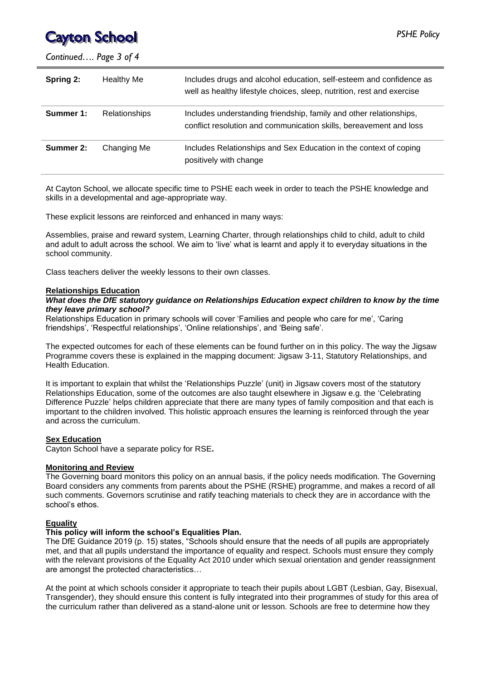# **Cayton School**

*Continued…. Page 3 of 4*

| Spring 2: | <b>Healthy Me</b>    | Includes drugs and alcohol education, self-esteem and confidence as<br>well as healthy lifestyle choices, sleep, nutrition, rest and exercise |
|-----------|----------------------|-----------------------------------------------------------------------------------------------------------------------------------------------|
| Summer 1: | <b>Relationships</b> | Includes understanding friendship, family and other relationships,<br>conflict resolution and communication skills, bereavement and loss      |
| Summer 2: | Changing Me          | Includes Relationships and Sex Education in the context of coping<br>positively with change                                                   |

At Cayton School, we allocate specific time to PSHE each week in order to teach the PSHE knowledge and skills in a developmental and age-appropriate way.

These explicit lessons are reinforced and enhanced in many ways:

Assemblies, praise and reward system, Learning Charter, through relationships child to child, adult to child and adult to adult across the school. We aim to 'live' what is learnt and apply it to everyday situations in the school community.

Class teachers deliver the weekly lessons to their own classes.

#### **Relationships Education**

#### *What does the DfE statutory guidance on Relationships Education expect children to know by the time they leave primary school?*

Relationships Education in primary schools will cover 'Families and people who care for me', 'Caring friendships', 'Respectful relationships', 'Online relationships', and 'Being safe'.

The expected outcomes for each of these elements can be found further on in this policy. The way the Jigsaw Programme covers these is explained in the mapping document: Jigsaw 3-11, Statutory Relationships, and Health Education.

It is important to explain that whilst the 'Relationships Puzzle' (unit) in Jigsaw covers most of the statutory Relationships Education, some of the outcomes are also taught elsewhere in Jigsaw e.g. the 'Celebrating Difference Puzzle' helps children appreciate that there are many types of family composition and that each is important to the children involved. This holistic approach ensures the learning is reinforced through the year and across the curriculum.

#### **Sex Education**

Cayton School have a separate policy for RSE**.**

#### **Monitoring and Review**

The Governing board monitors this policy on an annual basis, if the policy needs modification. The Governing Board considers any comments from parents about the PSHE (RSHE) programme, and makes a record of all such comments. Governors scrutinise and ratify teaching materials to check they are in accordance with the school's ethos.

#### **Equality**

#### **This policy will inform the school's Equalities Plan.**

The DfE Guidance 2019 (p. 15) states, "Schools should ensure that the needs of all pupils are appropriately met, and that all pupils understand the importance of equality and respect. Schools must ensure they comply with the relevant provisions of the Equality Act 2010 under which sexual orientation and gender reassignment are amongst the protected characteristics…

At the point at which schools consider it appropriate to teach their pupils about LGBT (Lesbian, Gay, Bisexual, Transgender), they should ensure this content is fully integrated into their programmes of study for this area of the curriculum rather than delivered as a stand-alone unit or lesson. Schools are free to determine how they